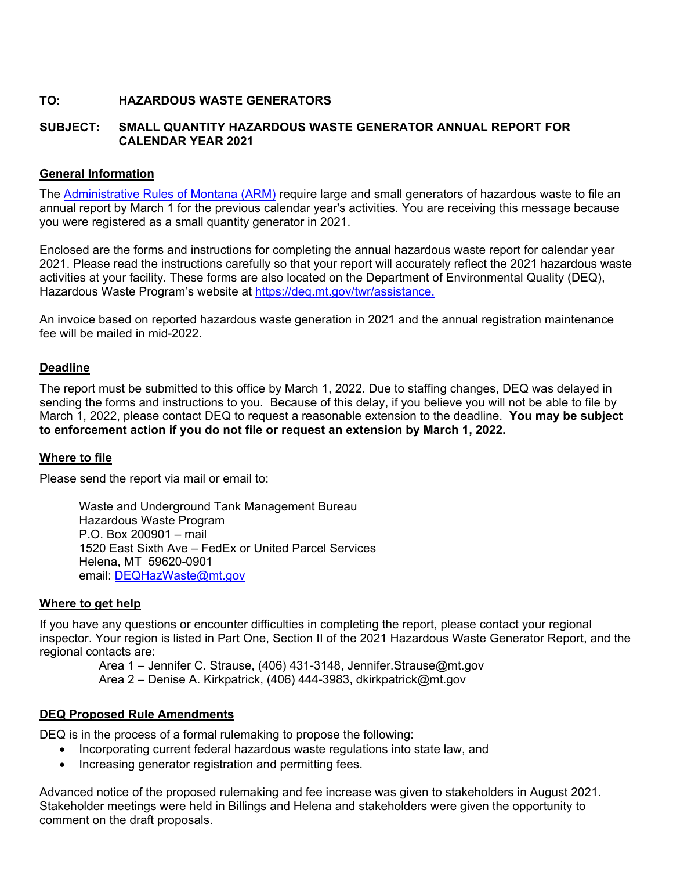# **TO: HAZARDOUS WASTE GENERATORS**

## **SUBJECT: SMALL QUANTITY HAZARDOUS WASTE GENERATOR ANNUAL REPORT FOR CALENDAR YEAR 2021**

## **General Information**

The Administrative Rules of Montana (ARM) require large and small generators of hazardous waste to file an annual report by March 1 for the previous calendar year's activities. You are receiving this message because you were registered as a small quantity generator in 2021.

Enclosed are the forms and instructions for completing the annual hazardous waste report for calendar year 2021. Please read the instructions carefully so that your report will accurately reflect the 2021 hazardous waste activities at your facility. These forms are also located on the Department of Environmental Quality (DEQ), Hazardous Waste Program's website at https://deq.mt.gov/twr/assistance.

An invoice based on reported hazardous waste generation in 2021 and the annual registration maintenance fee will be mailed in mid-2022.

# **Deadline**

The report must be submitted to this office by March 1, 2022. Due to staffing changes, DEQ was delayed in sending the forms and instructions to you. Because of this delay, if you believe you will not be able to file by March 1, 2022, please contact DEQ to request a reasonable extension to the deadline. **You may be subject to enforcement action if you do not file or request an extension by March 1, 2022.**

### **Where to file**

Please send the report via mail or email to:

Waste and Underground Tank Management Bureau Hazardous Waste Program P.O. Box 200901 – mail 1520 East Sixth Ave – FedEx or United Parcel Services Helena, MT 59620-0901 email: DEQHazWaste@mt.gov

### **Where to get help**

If you have any questions or encounter difficulties in completing the report, please contact your regional inspector. Your region is listed in Part One, Section II of the 2021 Hazardous Waste Generator Report, and the regional contacts are:

Area 1 – Jennifer C. Strause, (406) 431-3148, Jennifer.Strause@mt.gov Area 2 – Denise A. Kirkpatrick, (406) 444-3983, dkirkpatrick@mt.gov

### **DEQ Proposed Rule Amendments**

DEQ is in the process of a formal rulemaking to propose the following:

- Incorporating current federal hazardous waste regulations into state law, and
- Increasing generator registration and permitting fees.

Advanced notice of the proposed rulemaking and fee increase was given to stakeholders in August 2021. Stakeholder meetings were held in Billings and Helena and stakeholders were given the opportunity to comment on the draft proposals.